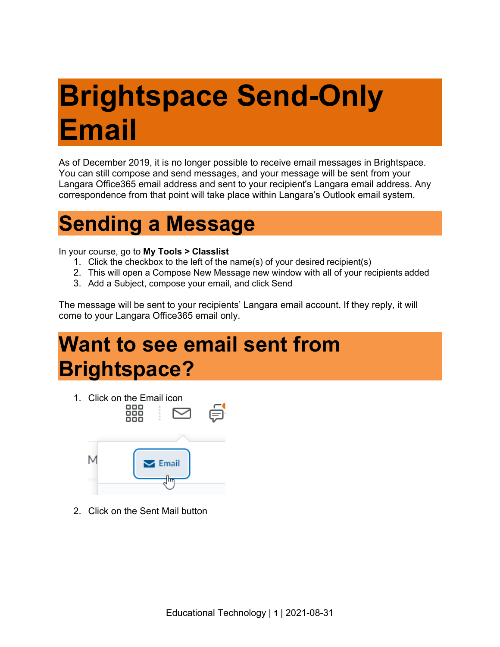## **Brightspace Send-Only Email**

As of December 2019, it is no longer possible to receive email messages in Brightspace. You can still compose and send messages, and your message will be sent from your Langara Office365 email address and sent to your recipient's Langara email address. Any correspondence from that point will take place within Langara's Outlook email system.

## **Sending a Message**

In your course, go to **My Tools > Classlist**

- 1. Click the checkbox to the left of the name(s) of your desired recipient(s)
- 2. This will open a Compose New Message new window with all of your recipients added
- 3. Add a Subject, compose your email, and click Send

The message will be sent to your recipients' Langara email account. If they reply, it will come to your Langara Office365 email only.

## **Want to see email sent from Brightspace?**



2. Click on the Sent Mail button